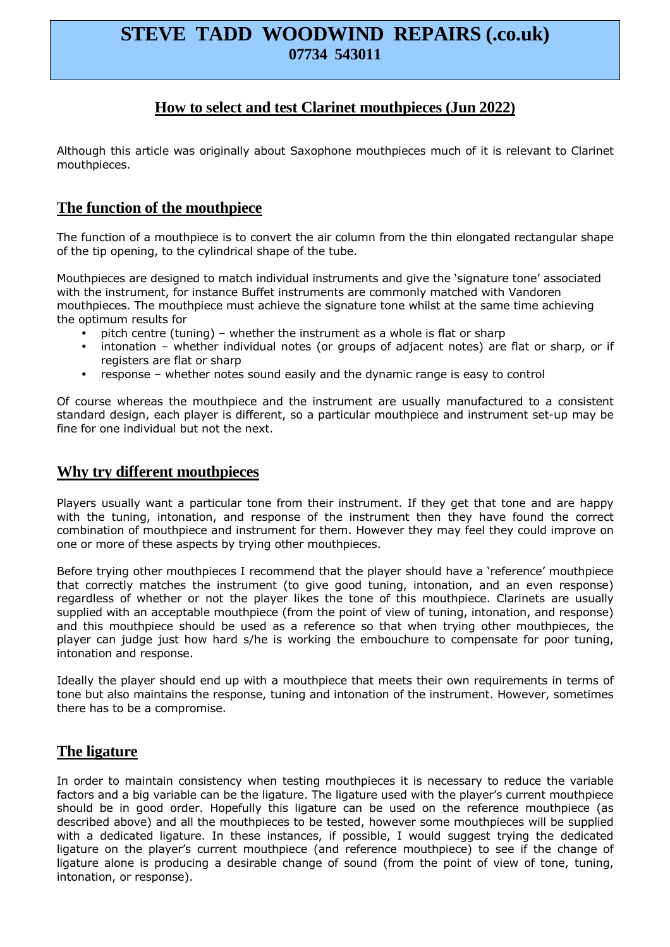# **STEVE TADD WOODWIND REPAIRS (.co.uk) 07734 543011**

## **How to select and test Clarinet mouthpieces (Jun 2022)**

Although this article was originally about Saxophone mouthpieces much of it is relevant to Clarinet mouthpieces.

### **The function of the mouthpiece**

The function of a mouthpiece is to convert the air column from the thin elongated rectangular shape of the tip opening, to the cylindrical shape of the tube.

Mouthpieces are designed to match individual instruments and give the 'signature tone' associated with the instrument, for instance Buffet instruments are commonly matched with Vandoren mouthpieces. The mouthpiece must achieve the signature tone whilst at the same time achieving the optimum results for

- pitch centre (tuning) whether the instrument as a whole is flat or sharp
- intonation whether individual notes (or groups of adjacent notes) are flat or sharp, or if registers are flat or sharp
- response whether notes sound easily and the dynamic range is easy to control

Of course whereas the mouthpiece and the instrument are usually manufactured to a consistent standard design, each player is different, so a particular mouthpiece and instrument set-up may be fine for one individual but not the next.

#### **Why try different mouthpieces**

Players usually want a particular tone from their instrument. If they get that tone and are happy with the tuning, intonation, and response of the instrument then they have found the correct combination of mouthpiece and instrument for them. However they may feel they could improve on one or more of these aspects by trying other mouthpieces.

Before trying other mouthpieces I recommend that the player should have a 'reference' mouthpiece that correctly matches the instrument (to give good tuning, intonation, and an even response) regardless of whether or not the player likes the tone of this mouthpiece. Clarinets are usually supplied with an acceptable mouthpiece (from the point of view of tuning, intonation, and response) and this mouthpiece should be used as a reference so that when trying other mouthpieces, the player can judge just how hard s/he is working the embouchure to compensate for poor tuning, intonation and response.

Ideally the player should end up with a mouthpiece that meets their own requirements in terms of tone but also maintains the response, tuning and intonation of the instrument. However, sometimes there has to be a compromise.

## **The ligature**

In order to maintain consistency when testing mouthpieces it is necessary to reduce the variable factors and a big variable can be the ligature. The ligature used with the player's current mouthpiece should be in good order. Hopefully this ligature can be used on the reference mouthpiece (as described above) and all the mouthpieces to be tested, however some mouthpieces will be supplied with a dedicated ligature. In these instances, if possible, I would suggest trying the dedicated ligature on the player's current mouthpiece (and reference mouthpiece) to see if the change of ligature alone is producing a desirable change of sound (from the point of view of tone, tuning, intonation, or response).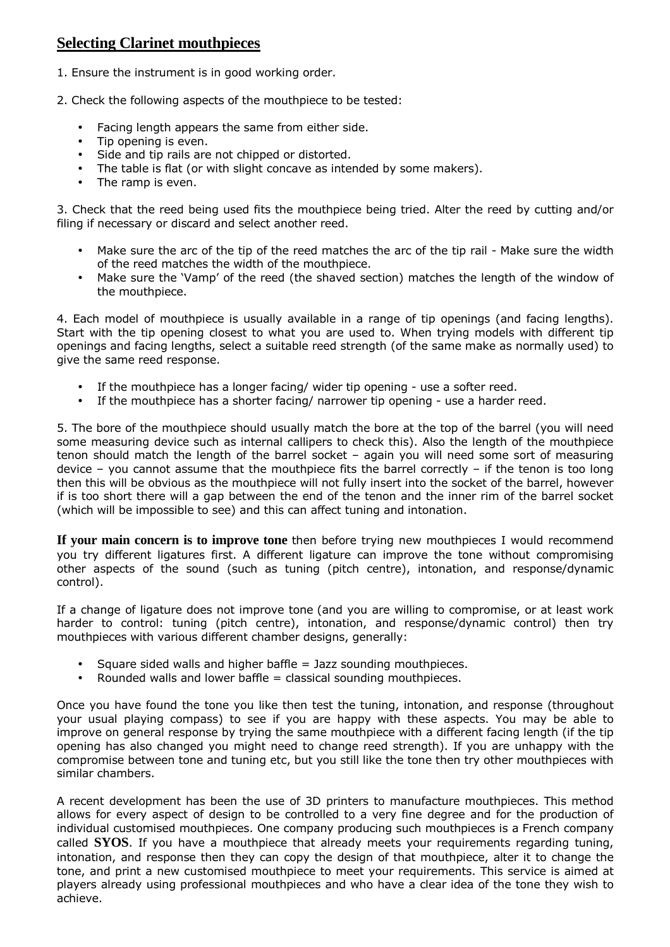# **Selecting Clarinet mouthpieces**

- 1. Ensure the instrument is in good working order.
- 2. Check the following aspects of the mouthpiece to be tested:
	- Facing length appears the same from either side.
	- Tip opening is even.
	- Side and tip rails are not chipped or distorted.
	- The table is flat (or with slight concave as intended by some makers).
	- The ramp is even.

3. Check that the reed being used fits the mouthpiece being tried. Alter the reed by cutting and/or filing if necessary or discard and select another reed.

- Make sure the arc of the tip of the reed matches the arc of the tip rail Make sure the width of the reed matches the width of the mouthpiece.
- Make sure the 'Vamp' of the reed (the shaved section) matches the length of the window of the mouthpiece.

4. Each model of mouthpiece is usually available in a range of tip openings (and facing lengths). Start with the tip opening closest to what you are used to. When trying models with different tip openings and facing lengths, select a suitable reed strength (of the same make as normally used) to give the same reed response.

- If the mouthpiece has a longer facing/ wider tip opening use a softer reed.
- If the mouthpiece has a shorter facing/ narrower tip opening use a harder reed.

5. The bore of the mouthpiece should usually match the bore at the top of the barrel (you will need some measuring device such as internal callipers to check this). Also the length of the mouthpiece tenon should match the length of the barrel socket – again you will need some sort of measuring device – you cannot assume that the mouthpiece fits the barrel correctly – if the tenon is too long then this will be obvious as the mouthpiece will not fully insert into the socket of the barrel, however if is too short there will a gap between the end of the tenon and the inner rim of the barrel socket (which will be impossible to see) and this can affect tuning and intonation.

**If your main concern is to improve tone** then before trying new mouthpieces I would recommend you try different ligatures first. A different ligature can improve the tone without compromising other aspects of the sound (such as tuning (pitch centre), intonation, and response/dynamic control).

If a change of ligature does not improve tone (and you are willing to compromise, or at least work harder to control: tuning (pitch centre), intonation, and response/dynamic control) then try mouthpieces with various different chamber designs, generally:

- Square sided walls and higher baffle = Jazz sounding mouthpieces.
- Rounded walls and lower baffle  $=$  classical sounding mouthpieces.

Once you have found the tone you like then test the tuning, intonation, and response (throughout your usual playing compass) to see if you are happy with these aspects. You may be able to improve on general response by trying the same mouthpiece with a different facing length (if the tip opening has also changed you might need to change reed strength). If you are unhappy with the compromise between tone and tuning etc, but you still like the tone then try other mouthpieces with similar chambers.

A recent development has been the use of 3D printers to manufacture mouthpieces. This method allows for every aspect of design to be controlled to a very fine degree and for the production of individual customised mouthpieces. One company producing such mouthpieces is a French company called **SYOS**. If you have a mouthpiece that already meets your requirements regarding tuning, intonation, and response then they can copy the design of that mouthpiece, alter it to change the tone, and print a new customised mouthpiece to meet your requirements. This service is aimed at players already using professional mouthpieces and who have a clear idea of the tone they wish to achieve.